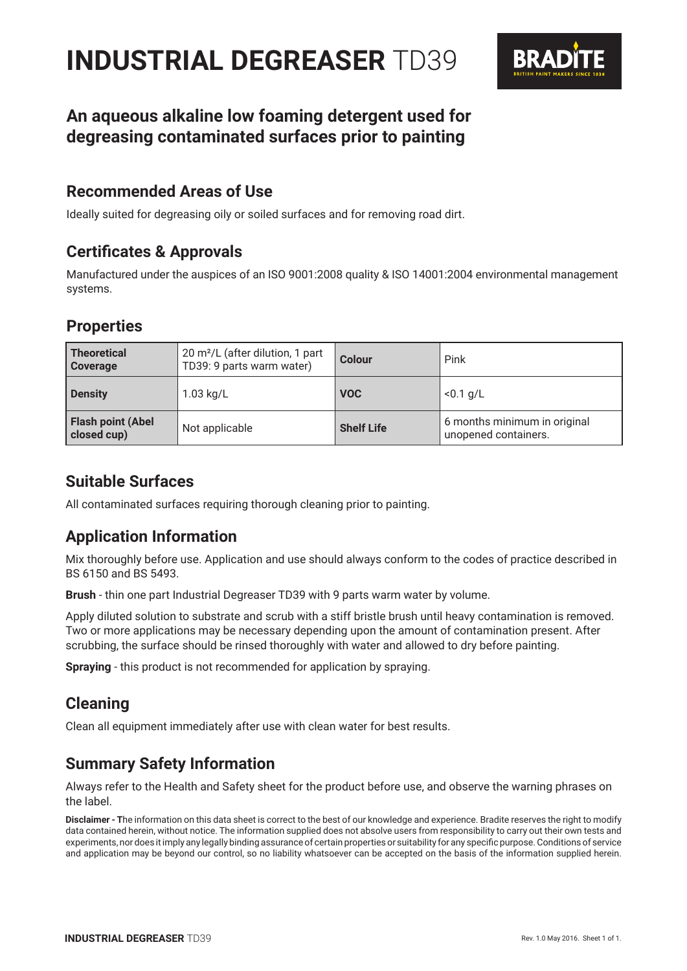# **INDUSTRIAL DEGREASER** TD39



# **An aqueous alkaline low foaming detergent used for degreasing contaminated surfaces prior to painting**

# **Recommended Areas of Use**

Ideally suited for degreasing oily or soiled surfaces and for removing road dirt.

# **Certificates & Approvals**

Manufactured under the auspices of an ISO 9001:2008 quality & ISO 14001:2004 environmental management systems.

# **Properties**

| <b>Theoretical</b><br><b>Coverage</b>   | 20 m <sup>2</sup> /L (after dilution, 1 part<br>TD39: 9 parts warm water) | Colour            | Pink                                                 |
|-----------------------------------------|---------------------------------------------------------------------------|-------------------|------------------------------------------------------|
| <b>Density</b>                          | $1.03$ kg/L                                                               | <b>VOC</b>        | $< 0.1$ g/L                                          |
| <b>Flash point (Abel</b><br>closed cup) | Not applicable                                                            | <b>Shelf Life</b> | 6 months minimum in original<br>unopened containers. |

# **Suitable Surfaces**

All contaminated surfaces requiring thorough cleaning prior to painting.

# **Application Information**

Mix thoroughly before use. Application and use should always conform to the codes of practice described in BS 6150 and BS 5493.

**Brush** - thin one part Industrial Degreaser TD39 with 9 parts warm water by volume.

Apply diluted solution to substrate and scrub with a stiff bristle brush until heavy contamination is removed. Two or more applications may be necessary depending upon the amount of contamination present. After scrubbing, the surface should be rinsed thoroughly with water and allowed to dry before painting.

**Spraying** - this product is not recommended for application by spraying.

# **Cleaning**

Clean all equipment immediately after use with clean water for best results.

# **Summary Safety Information**

Always refer to the Health and Safety sheet for the product before use, and observe the warning phrases on the label.

**Disclaimer - T**he information on this data sheet is correct to the best of our knowledge and experience. Bradite reserves the right to modify data contained herein, without notice. The information supplied does not absolve users from responsibility to carry out their own tests and experiments, nor does it imply any legally binding assurance of certain properties or suitability for any specific purpose. Conditions of service and application may be beyond our control, so no liability whatsoever can be accepted on the basis of the information supplied herein.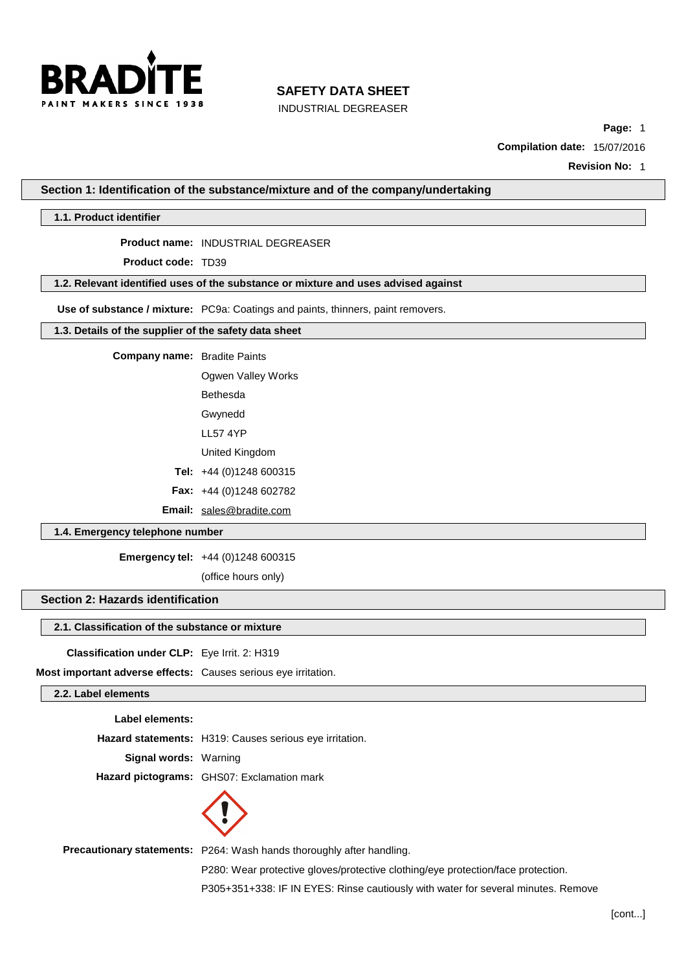

INDUSTRIAL DEGREASER

**Page:** 1

**Compilation date:** 15/07/2016

**Revision No:** 1

**Section 1: Identification of the substance/mixture and of the company/undertaking**

#### **1.1. Product identifier**

**Product name:** INDUSTRIAL DEGREASER

**Product code:** TD39

#### **1.2. Relevant identified uses of the substance or mixture and uses advised against**

**Use of substance / mixture:** PC9a: Coatings and paints, thinners, paint removers.

#### **1.3. Details of the supplier of the safety data sheet**

**Company name:** Bradite Paints

Ogwen Valley Works

Bethesda

Gwynedd

LL57 4YP

United Kingdom

**Tel:** +44 (0)1248 600315

**Fax:** +44 (0)1248 602782

**Email:** [sales@bradite.com](mailto:sales@bradite.com)

#### **1.4. Emergency telephone number**

**Emergency tel:** +44 (0)1248 600315

(office hours only)

# **Section 2: Hazards identification**

#### **2.1. Classification of the substance or mixture**

**Classification under CLP:** Eye Irrit. 2: H319

**Most important adverse effects:** Causes serious eye irritation.

#### **2.2. Label elements**

**Label elements:**

**Hazard statements:** H319: Causes serious eye irritation.

**Signal words:** Warning

**Hazard pictograms:** GHS07: Exclamation mark



**Precautionary statements:** P264: Wash hands thoroughly after handling.

P280: Wear protective gloves/protective clothing/eye protection/face protection.

P305+351+338: IF IN EYES: Rinse cautiously with water for several minutes. Remove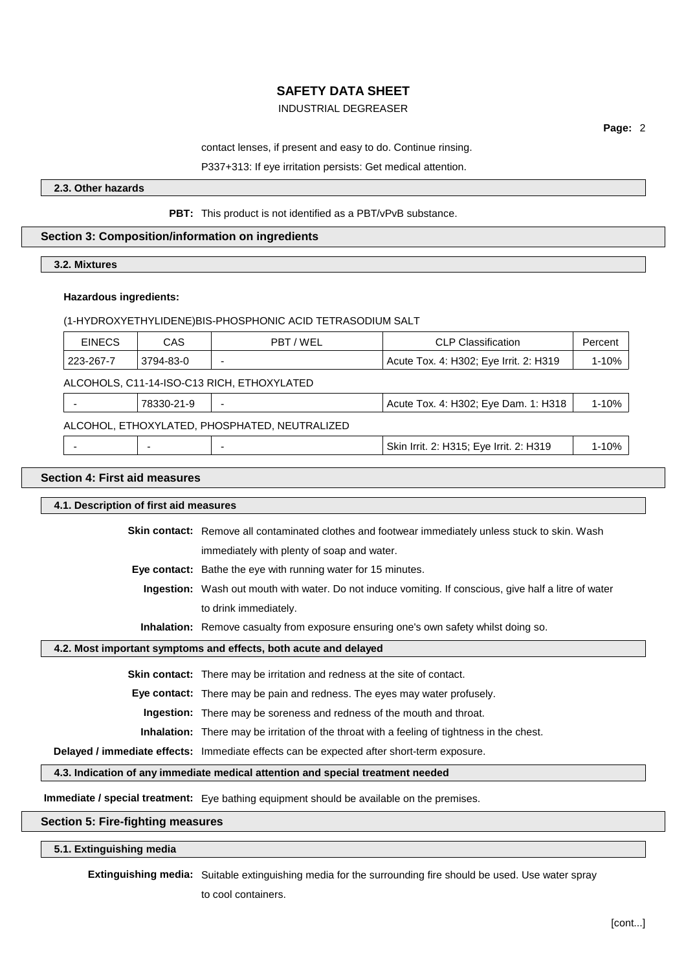# INDUSTRIAL DEGREASER

**Page:** 2

#### contact lenses, if present and easy to do. Continue rinsing.

#### P337+313: If eye irritation persists: Get medical attention.

**2.3. Other hazards**

#### **PBT:** This product is not identified as a PBT/vPvB substance.

# **Section 3: Composition/information on ingredients**

**3.2. Mixtures**

#### **Hazardous ingredients:**

| (1-HYDROXYETHYLIDENE)BIS-PHOSPHONIC ACID TETRASODIUM SALT |
|-----------------------------------------------------------|
|                                                           |

| <b>EINECS</b>                                 | CAS        | PBT/WEL | <b>CLP Classification</b>               | Percent   |
|-----------------------------------------------|------------|---------|-----------------------------------------|-----------|
| 223-267-7                                     | 3794-83-0  |         | Acute Tox. 4: H302; Eye Irrit. 2: H319  | $1 - 10%$ |
| ALCOHOLS, C11-14-ISO-C13 RICH, ETHOXYLATED    |            |         |                                         |           |
|                                               | 78330-21-9 |         | Acute Tox. 4: H302; Eye Dam. 1: H318    | $1 - 10%$ |
| ALCOHOL, ETHOXYLATED, PHOSPHATED, NEUTRALIZED |            |         |                                         |           |
|                                               |            |         | Skin Irrit. 2: H315; Eye Irrit. 2: H319 | $1 - 10%$ |

# **Section 4: First aid measures**

| 4.1. Description of first aid measures                                                           |                                                                                                               |  |  |
|--------------------------------------------------------------------------------------------------|---------------------------------------------------------------------------------------------------------------|--|--|
|                                                                                                  | <b>Skin contact:</b> Remove all contaminated clothes and footwear immediately unless stuck to skin. Wash      |  |  |
|                                                                                                  | immediately with plenty of soap and water.                                                                    |  |  |
|                                                                                                  | Eye contact: Bathe the eye with running water for 15 minutes.                                                 |  |  |
|                                                                                                  | <b>Ingestion:</b> Wash out mouth with water. Do not induce vomiting. If conscious, give half a litre of water |  |  |
|                                                                                                  | to drink immediately.                                                                                         |  |  |
|                                                                                                  | <b>Inhalation:</b> Remove casualty from exposure ensuring one's own safety whilst doing so.                   |  |  |
| 4.2. Most important symptoms and effects, both acute and delayed                                 |                                                                                                               |  |  |
|                                                                                                  | <b>Skin contact:</b> There may be irritation and redness at the site of contact.                              |  |  |
|                                                                                                  | <b>Eye contact:</b> There may be pain and redness. The eyes may water profusely.                              |  |  |
|                                                                                                  | <b>Ingestion:</b> There may be soreness and redness of the mouth and throat.                                  |  |  |
|                                                                                                  | <b>Inhalation:</b> There may be irritation of the throat with a feeling of tightness in the chest.            |  |  |
|                                                                                                  | Delayed / immediate effects: Immediate effects can be expected after short-term exposure.                     |  |  |
|                                                                                                  | 4.3. Indication of any immediate medical attention and special treatment needed                               |  |  |
| <b>Immediate / special treatment:</b> Eye bathing equipment should be available on the premises. |                                                                                                               |  |  |

#### **Section 5: Fire-fighting measures**

# **5.1. Extinguishing media**

**Extinguishing media:** Suitable extinguishing media for the surrounding fire should be used. Use water spray

to cool containers.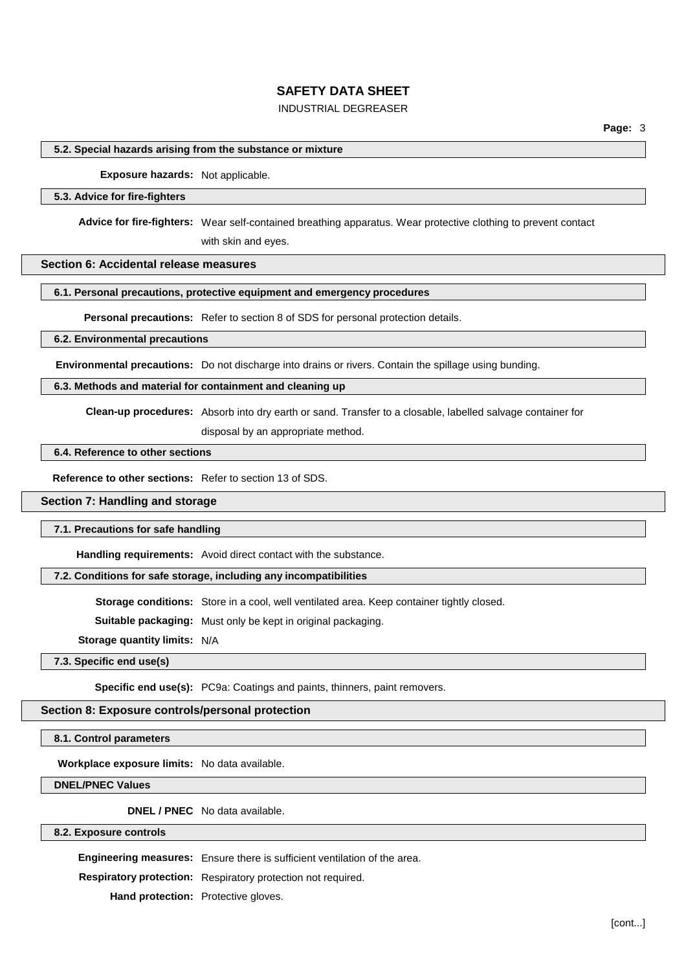# INDUSTRIAL DEGREASER

#### **5.2. Special hazards arising from the substance or mixture**

**Exposure hazards:** Not applicable.

#### **5.3. Advice for fire-fighters**

**Advice for fire-fighters:** Wear self-contained breathing apparatus. Wear protective clothing to prevent contact

with skin and eyes.

# **Section 6: Accidental release measures**

#### **6.1. Personal precautions, protective equipment and emergency procedures**

**Personal precautions:** Refer to section 8 of SDS for personal protection details.

#### **6.2. Environmental precautions**

**Environmental precautions:** Do not discharge into drains or rivers. Contain the spillage using bunding.

### **6.3. Methods and material for containment and cleaning up**

**Clean-up procedures:** Absorb into dry earth or sand. Transfer to a closable, labelled salvage container for

disposal by an appropriate method.

#### **6.4. Reference to other sections**

**Reference to other sections:** Refer to section 13 of SDS.

#### **Section 7: Handling and storage**

#### **7.1. Precautions for safe handling**

**Handling requirements:** Avoid direct contact with the substance.

#### **7.2. Conditions for safe storage, including any incompatibilities**

**Storage conditions:** Store in a cool, well ventilated area. Keep container tightly closed.

**Suitable packaging:** Must only be kept in original packaging.

**Storage quantity limits:** N/A

**7.3. Specific end use(s)**

**Specific end use(s):** PC9a: Coatings and paints, thinners, paint removers.

#### **Section 8: Exposure controls/personal protection**

#### **8.1. Control parameters**

**Workplace exposure limits:** No data available.

**DNEL/PNEC Values**

**DNEL / PNEC** No data available.

# **8.2. Exposure controls**

**Engineering measures:** Ensure there is sufficient ventilation of the area.

**Respiratory protection:** Respiratory protection not required.

**Hand protection:** Protective gloves.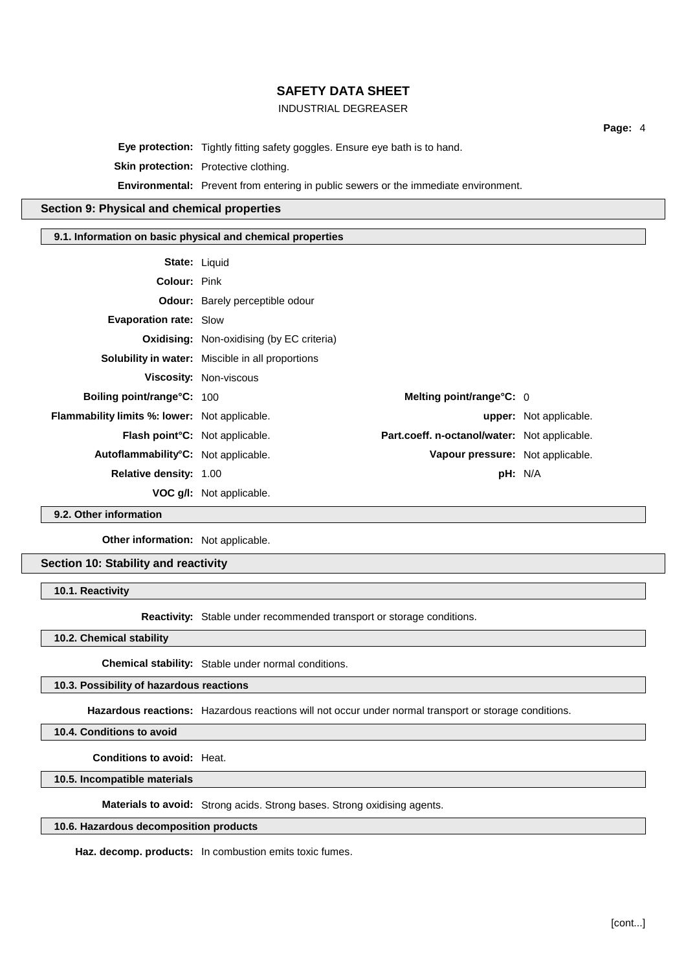## INDUSTRIAL DEGREASER

**Page:** 4

**Eye protection:** Tightly fitting safety goggles. Ensure eye bath is to hand.

**Skin protection:** Protective clothing.

**Environmental:** Prevent from entering in public sewers or the immediate environment.

# **Section 9: Physical and chemical properties**

#### **9.1. Information on basic physical and chemical properties**

| State: Liquid                                        |                                                  |                                              |                               |
|------------------------------------------------------|--------------------------------------------------|----------------------------------------------|-------------------------------|
| <b>Colour: Pink</b>                                  |                                                  |                                              |                               |
|                                                      | <b>Odour:</b> Barely perceptible odour           |                                              |                               |
| <b>Evaporation rate: Slow</b>                        |                                                  |                                              |                               |
|                                                      | <b>Oxidising:</b> Non-oxidising (by EC criteria) |                                              |                               |
|                                                      | Solubility in water: Miscible in all proportions |                                              |                               |
|                                                      | <b>Viscosity: Non-viscous</b>                    |                                              |                               |
| <b>Boiling point/range °C: 100</b>                   |                                                  | Melting point/range $C: 0$                   |                               |
| <b>Flammability limits %: lower:</b> Not applicable. |                                                  |                                              | <b>upper:</b> Not applicable. |
| Flash point°C: Not applicable.                       |                                                  | Part.coeff. n-octanol/water: Not applicable. |                               |
| Autoflammability <sup>°</sup> C: Not applicable.     |                                                  | Vapour pressure: Not applicable.             |                               |
| <b>Relative density: 1.00</b>                        |                                                  | pH: N/A                                      |                               |
|                                                      | VOC g/I: Not applicable.                         |                                              |                               |

**9.2. Other information**

**Other information:** Not applicable.

**Section 10: Stability and reactivity**

**10.1. Reactivity**

**Reactivity:** Stable under recommended transport or storage conditions.

**10.2. Chemical stability**

**Chemical stability:** Stable under normal conditions.

**10.3. Possibility of hazardous reactions**

**Hazardous reactions:** Hazardous reactions will not occur under normal transport or storage conditions.

**10.4. Conditions to avoid**

**Conditions to avoid:** Heat.

**10.5. Incompatible materials**

**Materials to avoid:** Strong acids. Strong bases. Strong oxidising agents.

### **10.6. Hazardous decomposition products**

**Haz. decomp. products:** In combustion emits toxic fumes.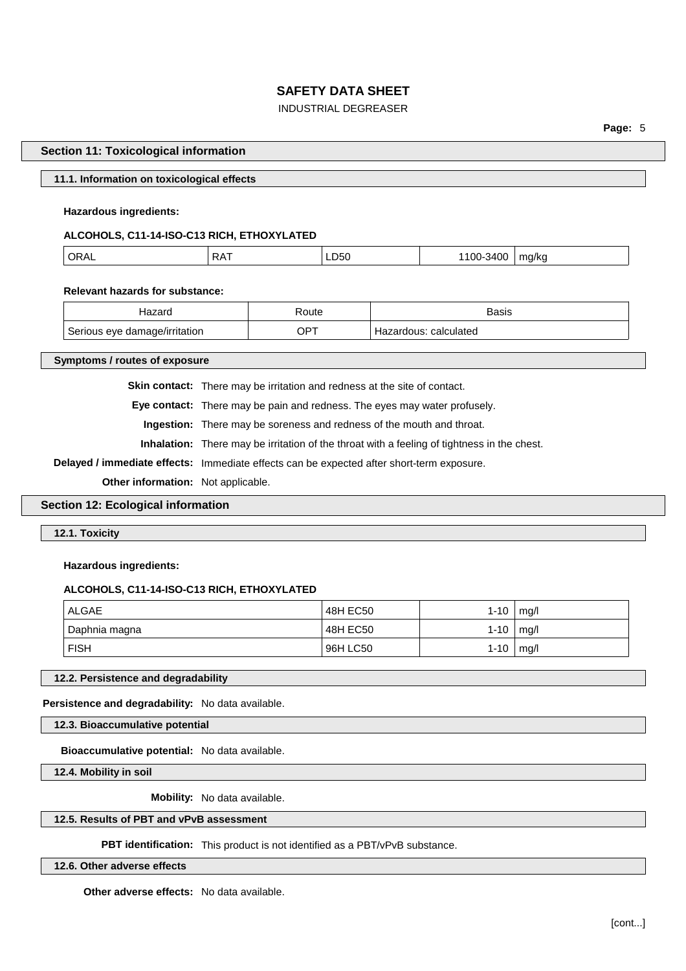## INDUSTRIAL DEGREASER

**Page:** 5

#### **Section 11: Toxicological information**

#### **11.1. Information on toxicological effects**

#### **Hazardous ingredients:**

# **ALCOHOLS, C11-14-ISO-C13 RICH, ETHOXYLATED**

|  | ∩⊳ | RA | LD <sub>50</sub> | ١О<br>.<br>. л | ma/ka<br>. |
|--|----|----|------------------|----------------|------------|
|--|----|----|------------------|----------------|------------|

#### **Relevant hazards for substance:**

| Hazaro                        | ≺oute | Basis                    |
|-------------------------------|-------|--------------------------|
| Serious eve damage/irritation | ⊤ם∩   | calculated<br>Hazardous: |

#### **Symptoms / routes of exposure**

**Skin contact:** There may be irritation and redness at the site of contact.

**Eye contact:** There may be pain and redness. The eyes may water profusely.

**Ingestion:** There may be soreness and redness of the mouth and throat.

**Inhalation:** There may be irritation of the throat with a feeling of tightness in the chest.

**Delayed / immediate effects:** Immediate effects can be expected after short-term exposure.

**Other information:** Not applicable.

# **Section 12: Ecological information**

**12.1. Toxicity**

#### **Hazardous ingredients:**

#### **ALCOHOLS, C11-14-ISO-C13 RICH, ETHOXYLATED**

| ALGAE         | 48H EC50 | 1-10       | mg/l |
|---------------|----------|------------|------|
| Daphnia magna | 48H EC50 | $1 - 10$   | mq/l |
| <b>FISH</b>   | 96H LC50 | $1 - 10$ . | mq/l |

#### **12.2. Persistence and degradability**

**Persistence and degradability:** No data available.

**12.3. Bioaccumulative potential**

**Bioaccumulative potential:** No data available.

**12.4. Mobility in soil**

**Mobility:** No data available.

#### **12.5. Results of PBT and vPvB assessment**

**PBT identification:** This product is not identified as a PBT/vPvB substance.

**12.6. Other adverse effects**

**Other adverse effects:** No data available.